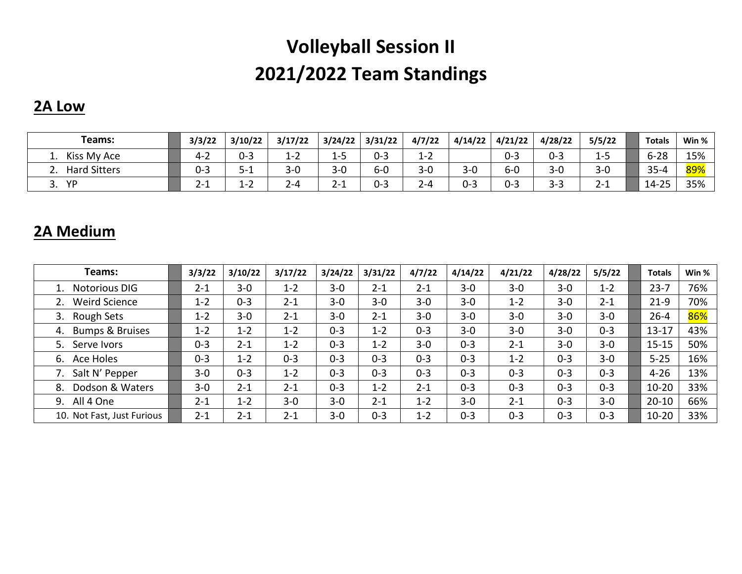# **Volleyball Session II 2021/2022 Team Standings**

### **2A Low**

| Teams:              | 3/3/22     | 3/10/22                  | 3/17/22           | 3/24/22                   | 3/31/22 | 4/7/22  | 4/14/22 | 4/21/22 | 4/28/22 | 5/5/22        | <b>Totals</b> | Win % |
|---------------------|------------|--------------------------|-------------------|---------------------------|---------|---------|---------|---------|---------|---------------|---------------|-------|
| Kiss My Ace         | ے-4        | $0 - 3$                  | ⊥-∠               | -<br>L-3                  | $0 - 3$ | $1 - 2$ |         | $0 - 3$ | $0 - 3$ | 1-J           | $6 - 28$      | 15%   |
| <b>Hard Sitters</b> | $0 - 3$    | $5 - 1$                  | $3 - 0$           | $3 - 0$                   | 6-0     | $3 - 0$ | $3 - 0$ | $6-0$   | $3 - 0$ | $3 - 0$       | $35 - 4$      | 89%   |
| YP<br>J.            | ີ.<br>–∠−⊥ | 1 ว<br>$\perp$ - $\perp$ | $\sim$<br>$2 - 4$ | $\Omega$ $\Lambda$<br>2-1 | $0 - 3$ | 2-4     | $0 - 3$ | $0 - 3$ | $3 - 3$ | $\sim$<br>Z-1 | $14 - 25$     | 35%   |

### **2A Medium**

| Teams:                           | 3/3/22  | 3/10/22 | 3/17/22 | 3/24/22 | 3/31/22 | 4/7/22  | 4/14/22 | 4/21/22 | 4/28/22 | 5/5/22  | <b>Totals</b> | Win % |
|----------------------------------|---------|---------|---------|---------|---------|---------|---------|---------|---------|---------|---------------|-------|
| <b>Notorious DIG</b>             | 2-1     | $3 - 0$ | $1 - 2$ | $3 - 0$ | $2 - 1$ | $2 - 1$ | $3 - 0$ | $3 - 0$ | $3 - 0$ | $1 - 2$ | $23 - 7$      | 76%   |
| <b>Weird Science</b>             | $1 - 2$ | $0 - 3$ | $2 - 1$ | $3 - 0$ | $3 - 0$ | $3 - 0$ | $3 - 0$ | $1 - 2$ | $3 - 0$ | $2 - 1$ | $21-9$        | 70%   |
| Rough Sets<br>3.                 | $1 - 2$ | $3 - 0$ | $2 - 1$ | $3 - 0$ | $2 - 1$ | $3 - 0$ | $3 - 0$ | $3 - 0$ | $3 - 0$ | $3 - 0$ | $26 - 4$      | 86%   |
| <b>Bumps &amp; Bruises</b><br>4. | $1 - 2$ | $1 - 2$ | $1 - 2$ | $0 - 3$ | $1 - 2$ | $0 - 3$ | $3 - 0$ | $3 - 0$ | $3 - 0$ | $0 - 3$ | $13 - 17$     | 43%   |
| 5.<br>Serve Ivors                | $0 - 3$ | $2 - 1$ | $1 - 2$ | $0 - 3$ | $1 - 2$ | $3 - 0$ | $0 - 3$ | $2 - 1$ | $3 - 0$ | $3 - 0$ | $15 - 15$     | 50%   |
| Ace Holes<br>6.                  | $0 - 3$ | $1 - 2$ | $0 - 3$ | $0 - 3$ | $0 - 3$ | $0 - 3$ | $0 - 3$ | $1 - 2$ | $0 - 3$ | $3 - 0$ | $5 - 25$      | 16%   |
| Salt N' Pepper                   | $3 - 0$ | $0 - 3$ | $1 - 2$ | $0 - 3$ | $0 - 3$ | $0 - 3$ | $0 - 3$ | $0 - 3$ | $0 - 3$ | $0 - 3$ | $4 - 26$      | 13%   |
| Dodson & Waters<br>8.            | $3 - 0$ | $2 - 1$ | $2 - 1$ | $0 - 3$ | $1 - 2$ | $2 - 1$ | $0 - 3$ | $0 - 3$ | $0 - 3$ | $0 - 3$ | $10 - 20$     | 33%   |
| All 4 One<br>9.                  | $2 - 1$ | $1 - 2$ | $3 - 0$ | $3 - 0$ | $2 - 1$ | $1 - 2$ | $3 - 0$ | $2 - 1$ | $0 - 3$ | $3 - 0$ | $20 - 10$     | 66%   |
| 10. Not Fast, Just Furious       | $2 - 1$ | $2 - 1$ | $2 - 1$ | $3 - 0$ | $0 - 3$ | $1 - 2$ | $0 - 3$ | $0 - 3$ | $0 - 3$ | $0 - 3$ | $10 - 20$     | 33%   |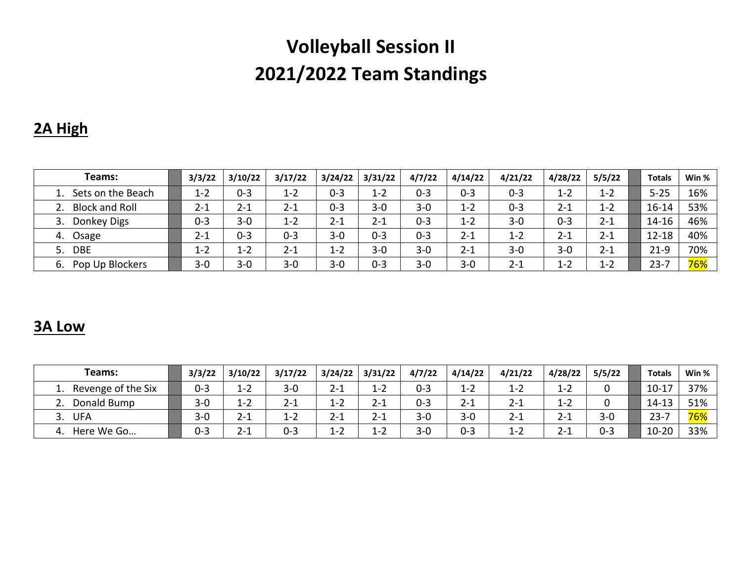# **Volleyball Session II 2021/2022 Team Standings**

## **2A High**

| Teams:                | 3/3/22  | 3/10/22 | 3/17/22 | 3/24/22 | 3/31/22 | 4/7/22  | 4/14/22 | 4/21/22 | 4/28/22 | 5/5/22  | <b>Totals</b> | Win %      |
|-----------------------|---------|---------|---------|---------|---------|---------|---------|---------|---------|---------|---------------|------------|
| 1. Sets on the Beach  | $1 - 2$ | $0 - 3$ | $1 - 2$ | $0 - 3$ | $1 - 2$ | $0 - 3$ | $0 - 3$ | $0 - 3$ | $1 - 2$ | $1 - 2$ | $5 - 25$      | 16%        |
| 2. Block and Roll     | $2 - 1$ | $2 - 1$ | $2 - 1$ | $0 - 3$ | $3 - 0$ | $3 - 0$ | $1 - 2$ | $0 - 3$ | $2 - 1$ | $1 - 2$ | $16 - 14$     | 53%        |
| Donkey Digs           | $0 - 3$ | $3 - 0$ | $1 - 2$ | $2 - 1$ | $2 - 1$ | $0 - 3$ | 1-2     | $3 - 0$ | $0 - 3$ | $2 - 1$ | 14-16         | 46%        |
| Osage<br>4.           | 2-1     | $0 - 3$ | $0 - 3$ | $3 - 0$ | $0 - 3$ | $0 - 3$ | 2-1     | $1 - 2$ | $2 - 1$ | $2 - 1$ | $12 - 18$     | 40%        |
| <b>DBE</b><br>5.      | $1 - 2$ | $1 - 2$ | $2 - 1$ | $1 - 2$ | $3 - 0$ | $3 - 0$ | $2 - 1$ | $3 - 0$ | $3 - 0$ | $2 - 1$ | $21-9$        | 70%        |
| Pop Up Blockers<br>6. | $3 - 0$ | $3 - 0$ | $3 - 0$ | $3 - 0$ | $0 - 3$ | $3 - 0$ | $3 - 0$ | $2 - 1$ | $1 - 2$ | $1 - 2$ | $23 - 7$      | <b>76%</b> |

### **3A Low**

| Teams:             | 3/3/22  | 3/10/22     | 3/17/22 | 3/24/22 | 3/31/22 | 4/7/22  | 4/14/22 | 4/21/22 | 4/28/22 | 5/5/22  | <b>Totals</b> | Win % |
|--------------------|---------|-------------|---------|---------|---------|---------|---------|---------|---------|---------|---------------|-------|
| Revenge of the Six | $0 - 3$ | $1 - 2$     | $3 - 0$ | $2 - 1$ | $1 - 2$ | $0 - 3$ | $1 - 2$ | $1 - 2$ | $1 - 2$ |         | $10 - 17$     | 37%   |
| Donald Bump        | $3 - 0$ | 1-2         | $2 - 1$ | $1 - 2$ | $2 - 1$ | $0 - 3$ | $2 - 1$ | $2 - 1$ | $1 - 2$ |         | 14-13         | 51%   |
| <b>UFA</b>         | $3 - 0$ | $2 - 1$     | $1 - 2$ | $2 - 1$ | $2 - 1$ | $3 - 0$ | $3 - 0$ | $2 - 2$ | $2 - 1$ | $3 - 0$ | $23 -$<br>-   | 76%   |
| Here We Go         | $0 - 3$ | า 1<br>2- J | $0 - 3$ | $1 - 2$ | $1 - 2$ | $3 - 0$ | 0-3     | $1 - 2$ | $2 - 1$ | $0 - 3$ | $10 - 20$     | 33%   |